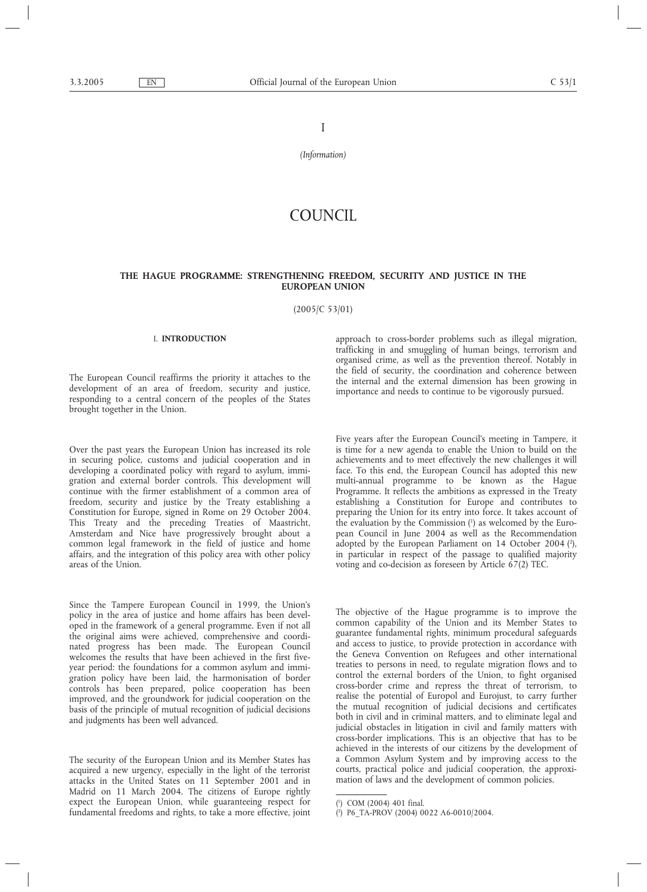I

*(Information)*

# COUNCIL

## **THE HAGUE PROGRAMME: STRENGTHENING FREEDOM, SECURITY AND JUSTICE IN THE EUROPEAN UNION**

(2005/C 53/01)

# I. **INTRODUCTION**

The European Council reaffirms the priority it attaches to the development of an area of freedom, security and justice, responding to a central concern of the peoples of the States brought together in the Union.

Over the past years the European Union has increased its role in securing police, customs and judicial cooperation and in developing a coordinated policy with regard to asylum, immigration and external border controls. This development will continue with the firmer establishment of a common area of freedom, security and justice by the Treaty establishing a Constitution for Europe, signed in Rome on 29 October 2004. This Treaty and the preceding Treaties of Maastricht, Amsterdam and Nice have progressively brought about a common legal framework in the field of justice and home affairs, and the integration of this policy area with other policy areas of the Union.

Since the Tampere European Council in 1999, the Union's policy in the area of justice and home affairs has been developed in the framework of a general programme. Even if not all the original aims were achieved, comprehensive and coordinated progress has been made. The European Council welcomes the results that have been achieved in the first fiveyear period: the foundations for a common asylum and immigration policy have been laid, the harmonisation of border controls has been prepared, police cooperation has been improved, and the groundwork for judicial cooperation on the basis of the principle of mutual recognition of judicial decisions and judgments has been well advanced.

The security of the European Union and its Member States has acquired a new urgency, especially in the light of the terrorist attacks in the United States on 11 September 2001 and in Madrid on 11 March 2004. The citizens of Europe rightly expect the European Union, while guaranteeing respect for fundamental freedoms and rights, to take a more effective, joint

approach to cross-border problems such as illegal migration, trafficking in and smuggling of human beings, terrorism and organised crime, as well as the prevention thereof. Notably in the field of security, the coordination and coherence between the internal and the external dimension has been growing in importance and needs to continue to be vigorously pursued.

Five years after the European Council's meeting in Tampere, it is time for a new agenda to enable the Union to build on the achievements and to meet effectively the new challenges it will face. To this end, the European Council has adopted this new multi-annual programme to be known as the Hague Programme. It reflects the ambitions as expressed in the Treaty establishing a Constitution for Europe and contributes to preparing the Union for its entry into force. It takes account of the evaluation by the Commission (1) as welcomed by the European Council in June 2004 as well as the Recommendation adopted by the European Parliament on  $14$  October 2004 ( $2$ ), in particular in respect of the passage to qualified majority voting and co-decision as foreseen by Article 67(2) TEC.

The objective of the Hague programme is to improve the common capability of the Union and its Member States to guarantee fundamental rights, minimum procedural safeguards and access to justice, to provide protection in accordance with the Geneva Convention on Refugees and other international treaties to persons in need, to regulate migration flows and to control the external borders of the Union, to fight organised cross-border crime and repress the threat of terrorism, to realise the potential of Europol and Eurojust, to carry further the mutual recognition of judicial decisions and certificates both in civil and in criminal matters, and to eliminate legal and judicial obstacles in litigation in civil and family matters with cross-border implications. This is an objective that has to be achieved in the interests of our citizens by the development of a Common Asylum System and by improving access to the courts, practical police and judicial cooperation, the approximation of laws and the development of common policies.

<sup>(</sup> 1 ) COM (2004) 401 final.

<sup>(</sup> 2 ) P6\_TA-PROV (2004) 0022 A6-0010/2004.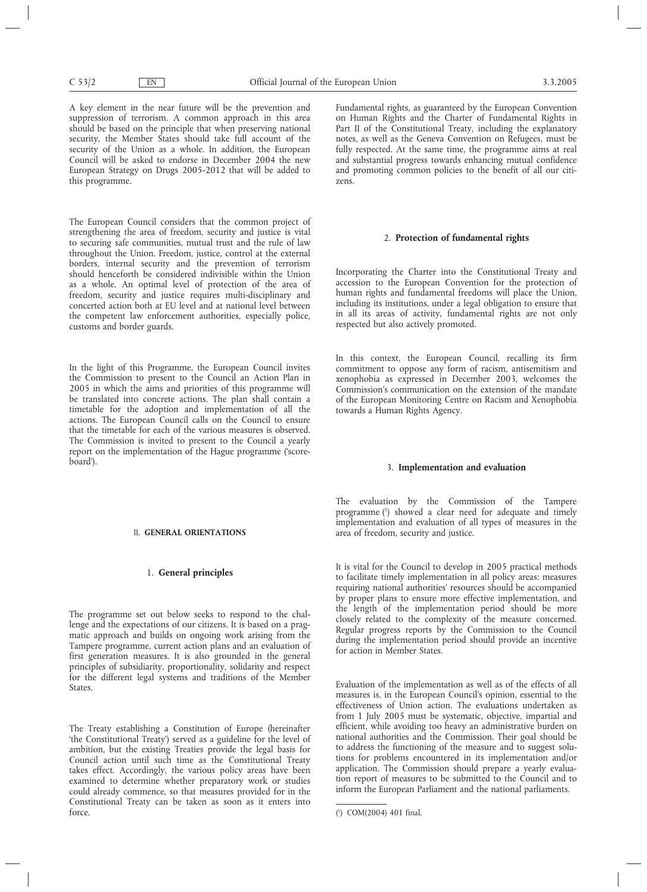A key element in the near future will be the prevention and suppression of terrorism. A common approach in this area should be based on the principle that when preserving national security, the Member States should take full account of the security of the Union as a whole. In addition, the European Council will be asked to endorse in December 2004 the new European Strategy on Drugs 2005-2012 that will be added to this programme.

The European Council considers that the common project of strengthening the area of freedom, security and justice is vital to securing safe communities, mutual trust and the rule of law throughout the Union. Freedom, justice, control at the external borders, internal security and the prevention of terrorism should henceforth be considered indivisible within the Union as a whole. An optimal level of protection of the area of freedom, security and justice requires multi-disciplinary and concerted action both at EU level and at national level between the competent law enforcement authorities, especially police, customs and border guards.

In the light of this Programme, the European Council invites the Commission to present to the Council an Action Plan in 2005 in which the aims and priorities of this programme will be translated into concrete actions. The plan shall contain a timetable for the adoption and implementation of all the actions. The European Council calls on the Council to ensure that the timetable for each of the various measures is observed. The Commission is invited to present to the Council a yearly report on the implementation of the Hague programme ('scoreboard').

## II. **GENERAL ORIENTATIONS**

## 1. **General principles**

The programme set out below seeks to respond to the challenge and the expectations of our citizens. It is based on a pragmatic approach and builds on ongoing work arising from the Tampere programme, current action plans and an evaluation of first generation measures. It is also grounded in the general principles of subsidiarity, proportionality, solidarity and respect for the different legal systems and traditions of the Member States.

The Treaty establishing a Constitution of Europe (hereinafter 'the Constitutional Treaty') served as a guideline for the level of ambition, but the existing Treaties provide the legal basis for Council action until such time as the Constitutional Treaty takes effect. Accordingly, the various policy areas have been examined to determine whether preparatory work or studies could already commence, so that measures provided for in the Constitutional Treaty can be taken as soon as it enters into force.

Fundamental rights, as guaranteed by the European Convention on Human Rights and the Charter of Fundamental Rights in Part II of the Constitutional Treaty, including the explanatory notes, as well as the Geneva Convention on Refugees, must be fully respected. At the same time, the programme aims at real and substantial progress towards enhancing mutual confidence and promoting common policies to the benefit of all our citizens.

## 2. **Protection of fundamental rights**

Incorporating the Charter into the Constitutional Treaty and accession to the European Convention for the protection of human rights and fundamental freedoms will place the Union, including its institutions, under a legal obligation to ensure that in all its areas of activity, fundamental rights are not only respected but also actively promoted.

In this context, the European Council, recalling its firm commitment to oppose any form of racism, antisemitism and xenophobia as expressed in December 2003, welcomes the Commission's communication on the extension of the mandate of the European Monitoring Centre on Racism and Xenophobia towards a Human Rights Agency.

#### 3. **Implementation and evaluation**

The evaluation by the Commission of the Tampere programme (1 ) showed a clear need for adequate and timely implementation and evaluation of all types of measures in the area of freedom, security and justice.

It is vital for the Council to develop in 2005 practical methods to facilitate timely implementation in all policy areas: measures requiring national authorities' resources should be accompanied by proper plans to ensure more effective implementation, and the length of the implementation period should be more closely related to the complexity of the measure concerned. Regular progress reports by the Commission to the Council during the implementation period should provide an incentive for action in Member States.

Evaluation of the implementation as well as of the effects of all measures is, in the European Council's opinion, essential to the effectiveness of Union action. The evaluations undertaken as from 1 July 2005 must be systematic, objective, impartial and efficient, while avoiding too heavy an administrative burden on national authorities and the Commission. Their goal should be to address the functioning of the measure and to suggest solutions for problems encountered in its implementation and/or application. The Commission should prepare a yearly evaluation report of measures to be submitted to the Council and to inform the European Parliament and the national parliaments.

<sup>(</sup> 1 ) COM(2004) 401 final.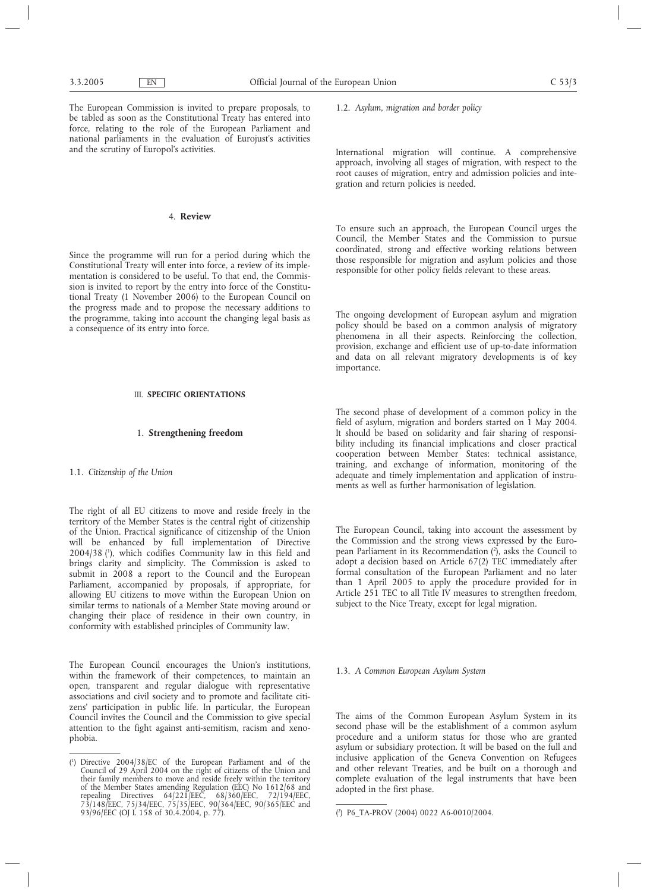The European Commission is invited to prepare proposals, to be tabled as soon as the Constitutional Treaty has entered into force, relating to the role of the European Parliament and national parliaments in the evaluation of Eurojust's activities and the scrutiny of Europol's activities.

## 4. **Review**

Since the programme will run for a period during which the Constitutional Treaty will enter into force, a review of its implementation is considered to be useful. To that end, the Commission is invited to report by the entry into force of the Constitutional Treaty (1 November 2006) to the European Council on the progress made and to propose the necessary additions to the programme, taking into account the changing legal basis as a consequence of its entry into force.

#### III. **SPECIFIC ORIENTATIONS**

## 1. **Strengthening freedom**

#### 1.1. *Citizenship of the Union*

The right of all EU citizens to move and reside freely in the territory of the Member States is the central right of citizenship of the Union. Practical significance of citizenship of the Union will be enhanced by full implementation of Directive 2004/38 (1 ), which codifies Community law in this field and brings clarity and simplicity. The Commission is asked to submit in 2008 a report to the Council and the European Parliament, accompanied by proposals, if appropriate, for allowing EU citizens to move within the European Union on similar terms to nationals of a Member State moving around or changing their place of residence in their own country, in conformity with established principles of Community law.

The European Council encourages the Union's institutions, within the framework of their competences, to maintain an open, transparent and regular dialogue with representative associations and civil society and to promote and facilitate citizens' participation in public life. In particular, the European Council invites the Council and the Commission to give special attention to the fight against anti-semitism, racism and xenophobia.

1.2. *Asylum, migration and border policy*

International migration will continue. A comprehensive approach, involving all stages of migration, with respect to the root causes of migration, entry and admission policies and integration and return policies is needed.

To ensure such an approach, the European Council urges the Council, the Member States and the Commission to pursue coordinated, strong and effective working relations between those responsible for migration and asylum policies and those responsible for other policy fields relevant to these areas.

The ongoing development of European asylum and migration policy should be based on a common analysis of migratory phenomena in all their aspects. Reinforcing the collection, provision, exchange and efficient use of up-to-date information and data on all relevant migratory developments is of key importance.

The second phase of development of a common policy in the field of asylum, migration and borders started on 1 May 2004. It should be based on solidarity and fair sharing of responsibility including its financial implications and closer practical cooperation between Member States: technical assistance, training, and exchange of information, monitoring of the adequate and timely implementation and application of instruments as well as further harmonisation of legislation.

The European Council, taking into account the assessment by the Commission and the strong views expressed by the European Parliament in its Recommendation (2), asks the Council to adopt a decision based on Article 67(2) TEC immediately after formal consultation of the European Parliament and no later than 1 April 2005 to apply the procedure provided for in Article 251 TEC to all Title IV measures to strengthen freedom, subject to the Nice Treaty, except for legal migration.

1.3. *A Common European Asylum System*

The aims of the Common European Asylum System in its second phase will be the establishment of a common asylum procedure and a uniform status for those who are granted asylum or subsidiary protection. It will be based on the full and inclusive application of the Geneva Convention on Refugees and other relevant Treaties, and be built on a thorough and complete evaluation of the legal instruments that have been adopted in the first phase.

<sup>(</sup> 1 ) Directive 2004/38/EC of the European Parliament and of the Council of 29 April 2004 on the right of citizens of the Union and their family members to move and reside freely within the territory of the Member States amending Regulation (EEC) No 1612/68 and repealing Directives 64/221/EEC, 68/360/EEC, 72/194/EEC, 73/148/EEC, 75/34/EEC, 75/35/EEC, 90/364/EEC, 90/365/EEC and 93/96/EEC (OJ L 158 of 30.4.2004, p. 77). (

<sup>2</sup> ) P6\_TA-PROV (2004) 0022 A6-0010/2004.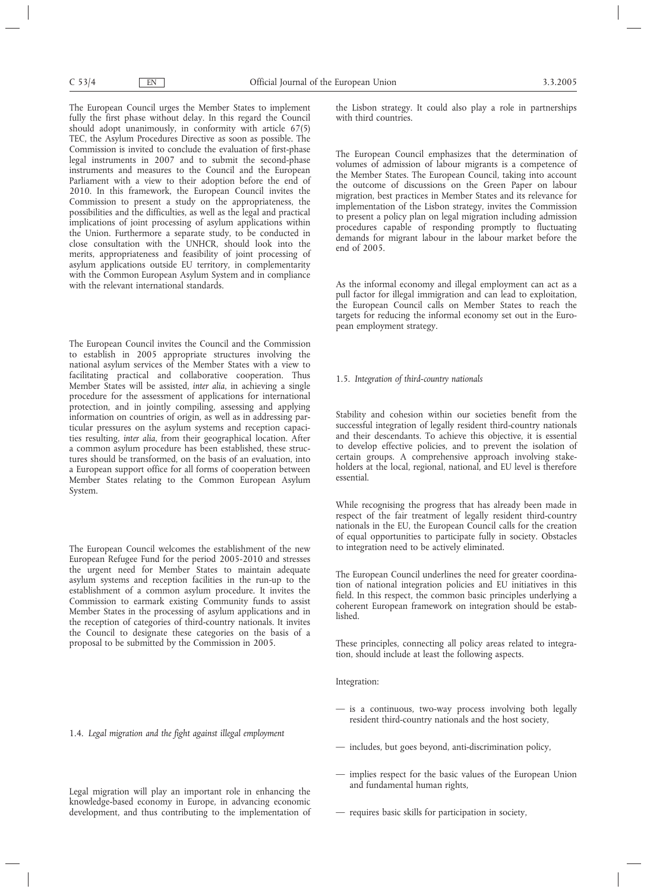The European Council urges the Member States to implement fully the first phase without delay. In this regard the Council should adopt unanimously, in conformity with article 67(5) TEC, the Asylum Procedures Directive as soon as possible. The Commission is invited to conclude the evaluation of first-phase legal instruments in 2007 and to submit the second-phase instruments and measures to the Council and the European Parliament with a view to their adoption before the end of 2010. In this framework, the European Council invites the Commission to present a study on the appropriateness, the possibilities and the difficulties, as well as the legal and practical implications of joint processing of asylum applications within the Union. Furthermore a separate study, to be conducted in close consultation with the UNHCR, should look into the merits, appropriateness and feasibility of joint processing of asylum applications outside EU territory, in complementarity with the Common European Asylum System and in compliance with the relevant international standards.

The European Council invites the Council and the Commission to establish in 2005 appropriate structures involving the national asylum services of the Member States with a view to facilitating practical and collaborative cooperation. Thus Member States will be assisted, *inter alia*, in achieving a single procedure for the assessment of applications for international protection, and in jointly compiling, assessing and applying information on countries of origin, as well as in addressing particular pressures on the asylum systems and reception capacities resulting, *inter alia*, from their geographical location. After a common asylum procedure has been established, these structures should be transformed, on the basis of an evaluation, into a European support office for all forms of cooperation between Member States relating to the Common European Asylum System.

The European Council welcomes the establishment of the new European Refugee Fund for the period 2005-2010 and stresses the urgent need for Member States to maintain adequate asylum systems and reception facilities in the run-up to the establishment of a common asylum procedure. It invites the Commission to earmark existing Community funds to assist Member States in the processing of asylum applications and in the reception of categories of third-country nationals. It invites the Council to designate these categories on the basis of a proposal to be submitted by the Commission in 2005.

1.4. *Legal migration and the fight against illegal employment*

Legal migration will play an important role in enhancing the knowledge-based economy in Europe, in advancing economic development, and thus contributing to the implementation of the Lisbon strategy. It could also play a role in partnerships with third countries.

The European Council emphasizes that the determination of volumes of admission of labour migrants is a competence of the Member States. The European Council, taking into account the outcome of discussions on the Green Paper on labour migration, best practices in Member States and its relevance for implementation of the Lisbon strategy, invites the Commission to present a policy plan on legal migration including admission procedures capable of responding promptly to fluctuating demands for migrant labour in the labour market before the end of 2005.

As the informal economy and illegal employment can act as a pull factor for illegal immigration and can lead to exploitation, the European Council calls on Member States to reach the targets for reducing the informal economy set out in the European employment strategy.

1.5. *Integration of third-country nationals*

Stability and cohesion within our societies benefit from the successful integration of legally resident third-country nationals and their descendants. To achieve this objective, it is essential to develop effective policies, and to prevent the isolation of certain groups. A comprehensive approach involving stakeholders at the local, regional, national, and EU level is therefore essential.

While recognising the progress that has already been made in respect of the fair treatment of legally resident third-country nationals in the EU, the European Council calls for the creation of equal opportunities to participate fully in society. Obstacles to integration need to be actively eliminated.

The European Council underlines the need for greater coordination of national integration policies and EU initiatives in this field. In this respect, the common basic principles underlying a coherent European framework on integration should be established.

These principles, connecting all policy areas related to integration, should include at least the following aspects.

Integration:

- is a continuous, two-way process involving both legally resident third-country nationals and the host society,
- includes, but goes beyond, anti-discrimination policy,
- implies respect for the basic values of the European Union and fundamental human rights,
- requires basic skills for participation in society,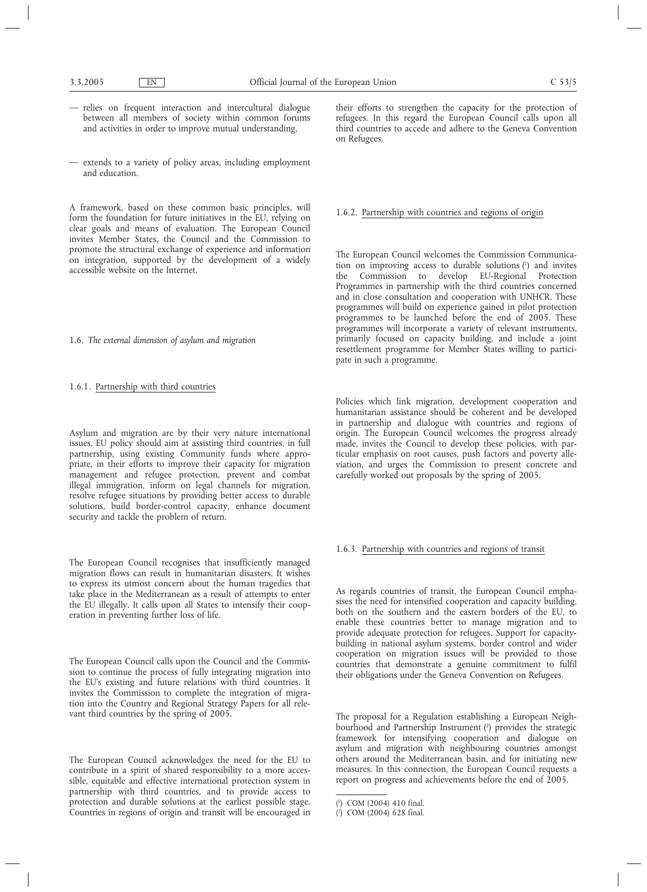- relies on frequent interaction and intercultural dialogue between all members of society within common forums and activities in order to improve mutual understanding,
- extends to a variety of policy areas, including employment and education.

A framework, based on these common basic principles, will form the foundation for future initiatives in the EU, relying on clear goals and means of evaluation. The European Council invites Member States, the Council and the Commission to promote the structural exchange of experience and information on integration, supported by the development of a widely accessible website on the Internet.

1.6. *The external dimension of asylum and migration*

#### 1.6.1. Partnership with third countries

Asylum and migration are by their very nature international issues. EU policy should aim at assisting third countries, in full partnership, using existing Community funds where appropriate, in their efforts to improve their capacity for migration management and refugee protection, prevent and combat illegal immigration, inform on legal channels for migration, resolve refugee situations by providing better access to durable solutions, build border-control capacity, enhance document security and tackle the problem of return.

The European Council recognises that insufficiently managed migration flows can result in humanitarian disasters. It wishes to express its utmost concern about the human tragedies that take place in the Mediterranean as a result of attempts to enter the EU illegally. It calls upon all States to intensify their cooperation in preventing further loss of life.

The European Council calls upon the Council and the Commission to continue the process of fully integrating migration into the EU's existing and future relations with third countries. It invites the Commission to complete the integration of migration into the Country and Regional Strategy Papers for all relevant third countries by the spring of 2005.

The European Council acknowledges the need for the EU to contribute in a spirit of shared responsibility to a more accessible, equitable and effective international protection system in partnership with third countries, and to provide access to protection and durable solutions at the earliest possible stage. Countries in regions of origin and transit will be encouraged in their efforts to strengthen the capacity for the protection of refugees. In this regard the European Council calls upon all third countries to accede and adhere to the Geneva Convention on Refugees.

## 1.6.2. Partnership with countries and regions of origin

The European Council welcomes the Commission Communication on improving access to durable solutions (1) and invites the Commission to develop EU-Regional Protection Programmes in partnership with the third countries concerned and in close consultation and cooperation with UNHCR. These programmes will build on experience gained in pilot protection programmes to be launched before the end of 2005. These programmes will incorporate a variety of relevant instruments, primarily focused on capacity building, and include a joint resettlement programme for Member States willing to participate in such a programme.

Policies which link migration, development cooperation and humanitarian assistance should be coherent and be developed in partnership and dialogue with countries and regions of origin. The European Council welcomes the progress already made, invites the Council to develop these policies, with particular emphasis on root causes, push factors and poverty alleviation, and urges the Commission to present concrete and carefully worked out proposals by the spring of 2005.

## 1.6.3. Partnership with countries and regions of transit

As regards countries of transit, the European Council emphasises the need for intensified cooperation and capacity building, both on the southern and the eastern borders of the EU, to enable these countries better to manage migration and to provide adequate protection for refugees. Support for capacitybuilding in national asylum systems, border control and wider cooperation on migration issues will be provided to those countries that demonstrate a genuine commitment to fulfil their obligations under the Geneva Convention on Refugees.

The proposal for a Regulation establishing a European Neighbourhood and Partnership Instrument (2) provides the strategic framework for intensifying cooperation and dialogue on asylum and migration with neighbouring countries amongst others around the Mediterranean basin, and for initiating new measures. In this connection, the European Council requests a report on progress and achievements before the end of 2005.

<sup>(</sup> 1 ) COM (2004) 410 final.

<sup>(</sup> 2 ) COM (2004) 628 final.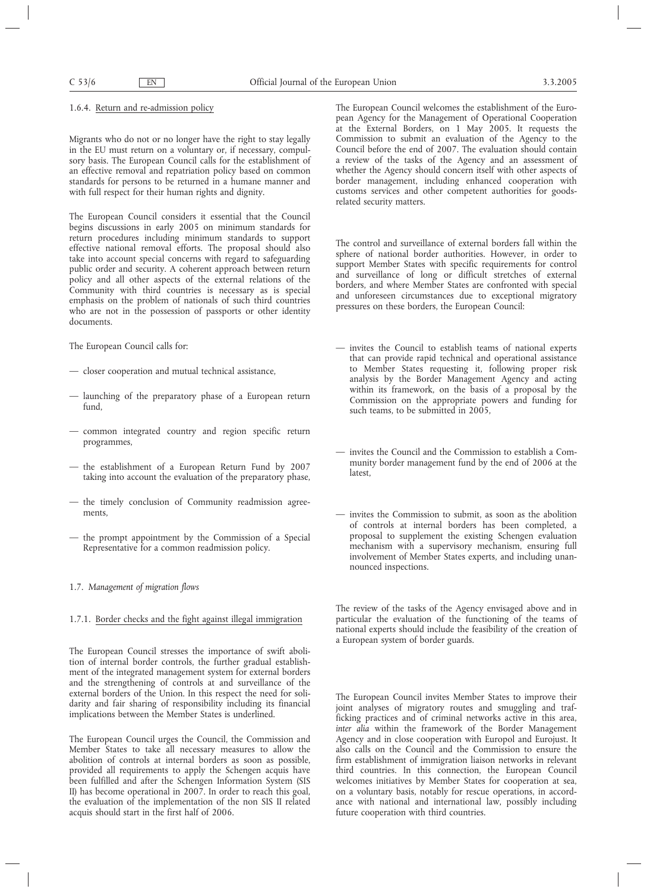## 1.6.4. Return and re-admission policy

Migrants who do not or no longer have the right to stay legally in the EU must return on a voluntary or, if necessary, compulsory basis. The European Council calls for the establishment of an effective removal and repatriation policy based on common standards for persons to be returned in a humane manner and with full respect for their human rights and dignity.

The European Council considers it essential that the Council begins discussions in early 2005 on minimum standards for return procedures including minimum standards to support effective national removal efforts. The proposal should also take into account special concerns with regard to safeguarding public order and security. A coherent approach between return policy and all other aspects of the external relations of the Community with third countries is necessary as is special emphasis on the problem of nationals of such third countries who are not in the possession of passports or other identity documents.

The European Council calls for:

- closer cooperation and mutual technical assistance,
- launching of the preparatory phase of a European return fund,
- common integrated country and region specific return programmes,
- the establishment of a European Return Fund by 2007 taking into account the evaluation of the preparatory phase,
- the timely conclusion of Community readmission agreements,
- the prompt appointment by the Commission of a Special Representative for a common readmission policy.
- 1.7. *Management of migration flows*

# 1.7.1. Border checks and the fight against illegal immigration

The European Council stresses the importance of swift abolition of internal border controls, the further gradual establishment of the integrated management system for external borders and the strengthening of controls at and surveillance of the external borders of the Union. In this respect the need for solidarity and fair sharing of responsibility including its financial implications between the Member States is underlined.

The European Council urges the Council, the Commission and Member States to take all necessary measures to allow the abolition of controls at internal borders as soon as possible, provided all requirements to apply the Schengen acquis have been fulfilled and after the Schengen Information System (SIS II) has become operational in 2007. In order to reach this goal, the evaluation of the implementation of the non SIS II related acquis should start in the first half of 2006.

The European Council welcomes the establishment of the European Agency for the Management of Operational Cooperation at the External Borders, on 1 May 2005. It requests the Commission to submit an evaluation of the Agency to the Council before the end of 2007. The evaluation should contain a review of the tasks of the Agency and an assessment of whether the Agency should concern itself with other aspects of border management, including enhanced cooperation with customs services and other competent authorities for goodsrelated security matters.

The control and surveillance of external borders fall within the sphere of national border authorities. However, in order to support Member States with specific requirements for control and surveillance of long or difficult stretches of external borders, and where Member States are confronted with special and unforeseen circumstances due to exceptional migratory pressures on these borders, the European Council:

- invites the Council to establish teams of national experts that can provide rapid technical and operational assistance to Member States requesting it, following proper risk analysis by the Border Management Agency and acting within its framework, on the basis of a proposal by the Commission on the appropriate powers and funding for such teams, to be submitted in 2005,
- invites the Council and the Commission to establish a Community border management fund by the end of 2006 at the latest,
- invites the Commission to submit, as soon as the abolition of controls at internal borders has been completed, a proposal to supplement the existing Schengen evaluation mechanism with a supervisory mechanism, ensuring full involvement of Member States experts, and including unannounced inspections.

The review of the tasks of the Agency envisaged above and in particular the evaluation of the functioning of the teams of national experts should include the feasibility of the creation of a European system of border guards.

The European Council invites Member States to improve their joint analyses of migratory routes and smuggling and trafficking practices and of criminal networks active in this area, *inter alia* within the framework of the Border Management Agency and in close cooperation with Europol and Eurojust. It also calls on the Council and the Commission to ensure the firm establishment of immigration liaison networks in relevant third countries. In this connection, the European Council welcomes initiatives by Member States for cooperation at sea, on a voluntary basis, notably for rescue operations, in accordance with national and international law, possibly including future cooperation with third countries.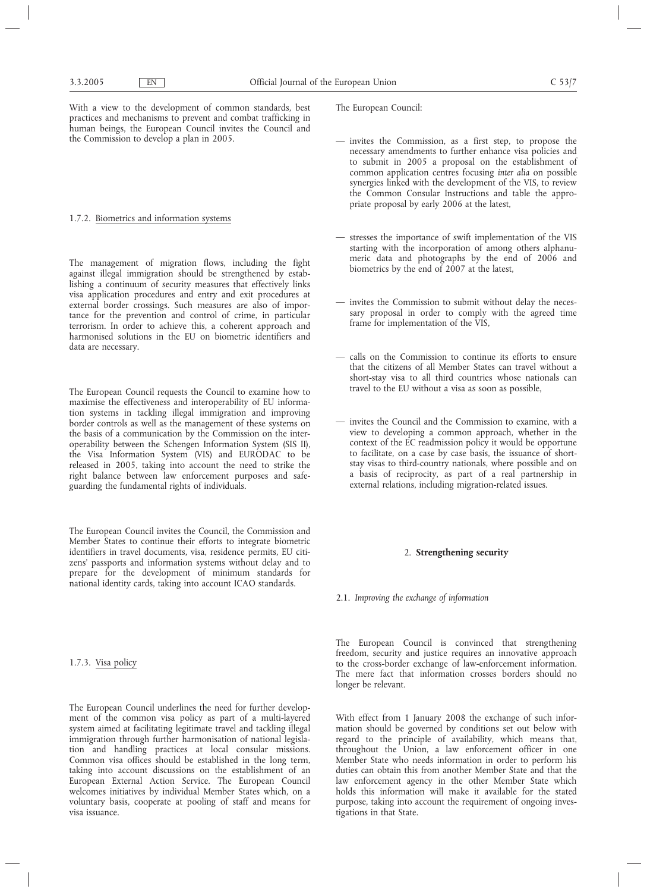With a view to the development of common standards, best practices and mechanisms to prevent and combat trafficking in human beings, the European Council invites the Council and the Commission to develop a plan in 2005.

## 1.7.2. Biometrics and information systems

The management of migration flows, including the fight against illegal immigration should be strengthened by establishing a continuum of security measures that effectively links visa application procedures and entry and exit procedures at external border crossings. Such measures are also of importance for the prevention and control of crime, in particular terrorism. In order to achieve this, a coherent approach and harmonised solutions in the EU on biometric identifiers and data are necessary.

The European Council requests the Council to examine how to maximise the effectiveness and interoperability of EU information systems in tackling illegal immigration and improving border controls as well as the management of these systems on the basis of a communication by the Commission on the interoperability between the Schengen Information System (SIS II), the Visa Information System (VIS) and EURODAC to be released in 2005, taking into account the need to strike the right balance between law enforcement purposes and safeguarding the fundamental rights of individuals.

The European Council invites the Council, the Commission and Member States to continue their efforts to integrate biometric identifiers in travel documents, visa, residence permits, EU citizens' passports and information systems without delay and to prepare for the development of minimum standards for national identity cards, taking into account ICAO standards.

## 1.7.3. Visa policy

The European Council underlines the need for further development of the common visa policy as part of a multi-layered system aimed at facilitating legitimate travel and tackling illegal immigration through further harmonisation of national legislation and handling practices at local consular missions. Common visa offices should be established in the long term, taking into account discussions on the establishment of an European External Action Service. The European Council welcomes initiatives by individual Member States which, on a voluntary basis, cooperate at pooling of staff and means for visa issuance.

The European Council:

- invites the Commission, as a first step, to propose the necessary amendments to further enhance visa policies and to submit in 2005 a proposal on the establishment of common application centres focusing *inter alia* on possible synergies linked with the development of the VIS, to review the Common Consular Instructions and table the appropriate proposal by early 2006 at the latest,
- stresses the importance of swift implementation of the VIS starting with the incorporation of among others alphanumeric data and photographs by the end of 2006 and biometrics by the end of 2007 at the latest,
- invites the Commission to submit without delay the necessary proposal in order to comply with the agreed time frame for implementation of the VIS,
- calls on the Commission to continue its efforts to ensure that the citizens of all Member States can travel without a short-stay visa to all third countries whose nationals can travel to the EU without a visa as soon as possible,
- invites the Council and the Commission to examine, with a view to developing a common approach, whether in the context of the EC readmission policy it would be opportune to facilitate, on a case by case basis, the issuance of shortstay visas to third-country nationals, where possible and on a basis of reciprocity, as part of a real partnership in external relations, including migration-related issues.

#### 2. **Strengthening security**

## 2.1. *Improving the exchange of information*

The European Council is convinced that strengthening freedom, security and justice requires an innovative approach to the cross-border exchange of law-enforcement information. The mere fact that information crosses borders should no longer be relevant.

With effect from 1 January 2008 the exchange of such information should be governed by conditions set out below with regard to the principle of availability, which means that, throughout the Union, a law enforcement officer in one Member State who needs information in order to perform his duties can obtain this from another Member State and that the law enforcement agency in the other Member State which holds this information will make it available for the stated purpose, taking into account the requirement of ongoing investigations in that State.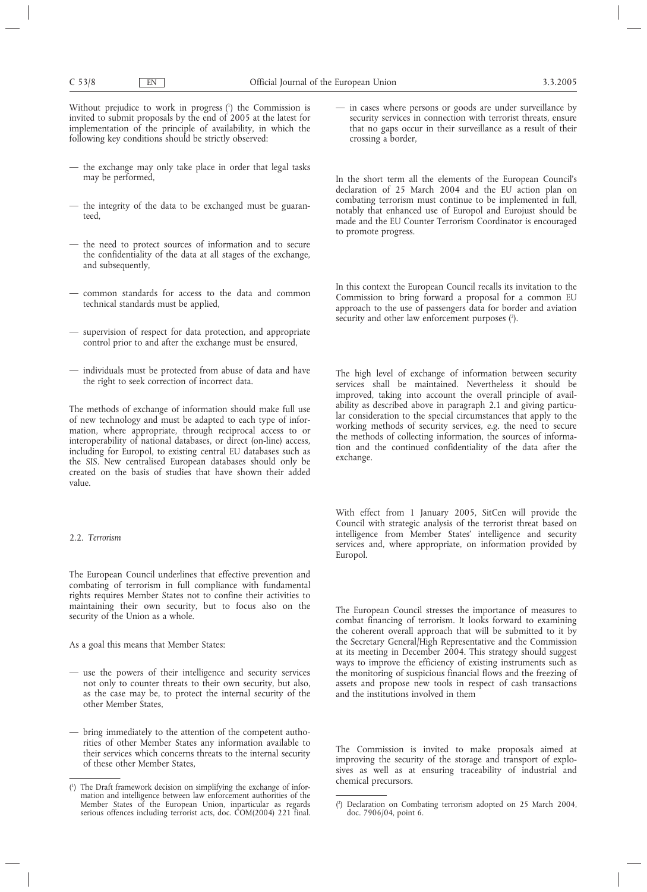Without prejudice to work in progress (1) the Commission is invited to submit proposals by the end of 2005 at the latest for implementation of the principle of availability, in which the following key conditions should be strictly observed:

- the exchange may only take place in order that legal tasks may be performed,
- the integrity of the data to be exchanged must be guaranteed,
- the need to protect sources of information and to secure the confidentiality of the data at all stages of the exchange, and subsequently,
- common standards for access to the data and common technical standards must be applied,
- supervision of respect for data protection, and appropriate control prior to and after the exchange must be ensured,
- individuals must be protected from abuse of data and have the right to seek correction of incorrect data.

The methods of exchange of information should make full use of new technology and must be adapted to each type of information, where appropriate, through reciprocal access to or interoperability of national databases, or direct (on-line) access, including for Europol, to existing central EU databases such as the SIS. New centralised European databases should only be created on the basis of studies that have shown their added value.

## 2.2. *Terrorism*

The European Council underlines that effective prevention and combating of terrorism in full compliance with fundamental rights requires Member States not to confine their activities to maintaining their own security, but to focus also on the security of the Union as a whole.

As a goal this means that Member States:

- use the powers of their intelligence and security services not only to counter threats to their own security, but also, as the case may be, to protect the internal security of the other Member States,
- bring immediately to the attention of the competent authorities of other Member States any information available to their services which concerns threats to the internal security of these other Member States,

— in cases where persons or goods are under surveillance by security services in connection with terrorist threats, ensure that no gaps occur in their surveillance as a result of their crossing a border,

In the short term all the elements of the European Council's declaration of 25 March 2004 and the EU action plan on combating terrorism must continue to be implemented in full, notably that enhanced use of Europol and Eurojust should be made and the EU Counter Terrorism Coordinator is encouraged to promote progress.

In this context the European Council recalls its invitation to the Commission to bring forward a proposal for a common EU approach to the use of passengers data for border and aviation security and other law enforcement purposes (2).

The high level of exchange of information between security services shall be maintained. Nevertheless it should be improved, taking into account the overall principle of availability as described above in paragraph 2.1 and giving particular consideration to the special circumstances that apply to the working methods of security services, e.g. the need to secure the methods of collecting information, the sources of information and the continued confidentiality of the data after the exchange.

With effect from 1 January 2005, SitCen will provide the Council with strategic analysis of the terrorist threat based on intelligence from Member States' intelligence and security services and, where appropriate, on information provided by Europol.

The European Council stresses the importance of measures to combat financing of terrorism. It looks forward to examining the coherent overall approach that will be submitted to it by the Secretary General/High Representative and the Commission at its meeting in December 2004. This strategy should suggest ways to improve the efficiency of existing instruments such as the monitoring of suspicious financial flows and the freezing of assets and propose new tools in respect of cash transactions and the institutions involved in them

The Commission is invited to make proposals aimed at improving the security of the storage and transport of explosives as well as at ensuring traceability of industrial and chemical precursors.

<sup>(</sup> 1 ) The Draft framework decision on simplifying the exchange of information and intelligence between law enforcement authorities of the Member States of the European Union, inparticular as regards serious offences including terrorist acts, doc. COM(2004) 221 final.

<sup>(</sup> 2 ) Declaration on Combating terrorism adopted on 25 March 2004, doc. 7906/04, point 6.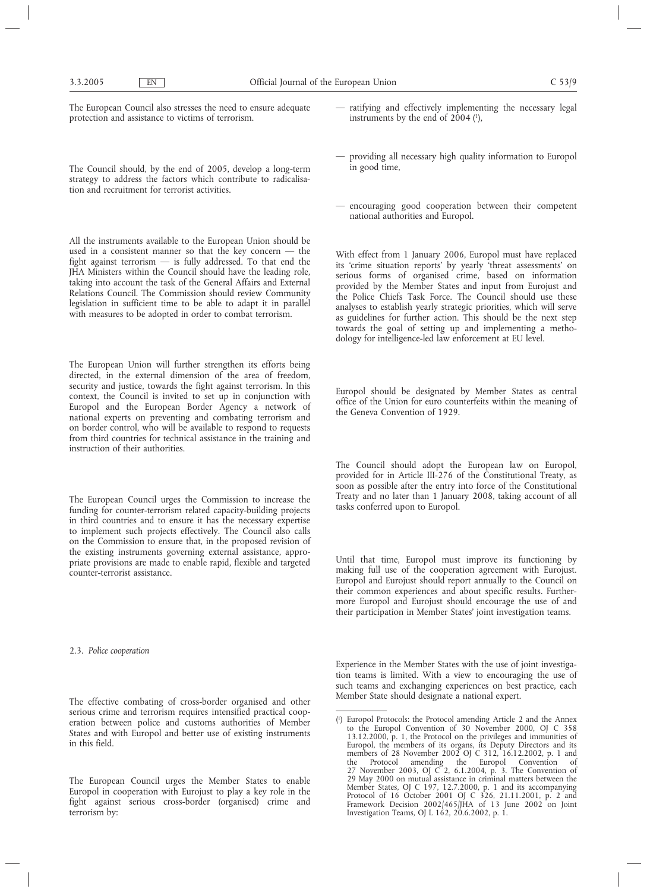The European Council also stresses the need to ensure adequate protection and assistance to victims of terrorism.

The Council should, by the end of 2005, develop a long-term strategy to address the factors which contribute to radicalisation and recruitment for terrorist activities.

All the instruments available to the European Union should be used in a consistent manner so that the key concern — the fight against terrorism — is fully addressed. To that end the JHA Ministers within the Council should have the leading role, taking into account the task of the General Affairs and External Relations Council. The Commission should review Community legislation in sufficient time to be able to adapt it in parallel with measures to be adopted in order to combat terrorism.

The European Union will further strengthen its efforts being directed, in the external dimension of the area of freedom, security and justice, towards the fight against terrorism. In this context, the Council is invited to set up in conjunction with Europol and the European Border Agency a network of national experts on preventing and combating terrorism and on border control, who will be available to respond to requests from third countries for technical assistance in the training and instruction of their authorities.

The European Council urges the Commission to increase the funding for counter-terrorism related capacity-building projects in third countries and to ensure it has the necessary expertise to implement such projects effectively. The Council also calls on the Commission to ensure that, in the proposed revision of the existing instruments governing external assistance, appropriate provisions are made to enable rapid, flexible and targeted counter-terrorist assistance.

— ratifying and effectively implementing the necessary legal instruments by the end of  $2004$  ( $\degree$ ),

- providing all necessary high quality information to Europol in good time,
- encouraging good cooperation between their competent national authorities and Europol.

With effect from 1 January 2006, Europol must have replaced its 'crime situation reports' by yearly 'threat assessments' on serious forms of organised crime, based on information provided by the Member States and input from Eurojust and the Police Chiefs Task Force. The Council should use these analyses to establish yearly strategic priorities, which will serve as guidelines for further action. This should be the next step towards the goal of setting up and implementing a methodology for intelligence-led law enforcement at EU level.

Europol should be designated by Member States as central office of the Union for euro counterfeits within the meaning of the Geneva Convention of 1929.

The Council should adopt the European law on Europol, provided for in Article III-276 of the Constitutional Treaty, as soon as possible after the entry into force of the Constitutional Treaty and no later than 1 January 2008, taking account of all tasks conferred upon to Europol.

Until that time, Europol must improve its functioning by making full use of the cooperation agreement with Eurojust. Europol and Eurojust should report annually to the Council on their common experiences and about specific results. Furthermore Europol and Eurojust should encourage the use of and their participation in Member States' joint investigation teams.

2.3. *Police cooperation*

The effective combating of cross-border organised and other serious crime and terrorism requires intensified practical cooperation between police and customs authorities of Member States and with Europol and better use of existing instruments in this field.

Experience in the Member States with the use of joint investigation teams is limited. With a view to encouraging the use of such teams and exchanging experiences on best practice, each Member State should designate a national expert.

The European Council urges the Member States to enable Europol in cooperation with Eurojust to play a key role in the fight against serious cross-border (organised) crime and terrorism by:

<sup>(</sup> 1 ) Europol Protocols: the Protocol amending Article 2 and the Annex to the Europol Convention of 30 November 2000, OJ C 358 13.12.2000, p. 1, the Protocol on the privileges and immunities of Europol, the members of its organs, its Deputy Directors and its members of 28 November 2002 OJ C 312, 16.12.2002, p. 1 and the Protocol amending the Europol Convention of 27 November 2003, OJ C 2, 6.1.2004, p. 3. The Convention of 29 May 2000 on mutual assistance in criminal matters between the Member States, OJ C 197, 12.7.2000, p. 1 and its accompanying Protocol of 16 October 2001 OJ C 326, 21.11.2001, p. 2 and Framework Decision  $2002/465$  JHA of 13 June  $2002$  on Joint Investigation Teams, OJ L 162, 20.6.2002, p. 1.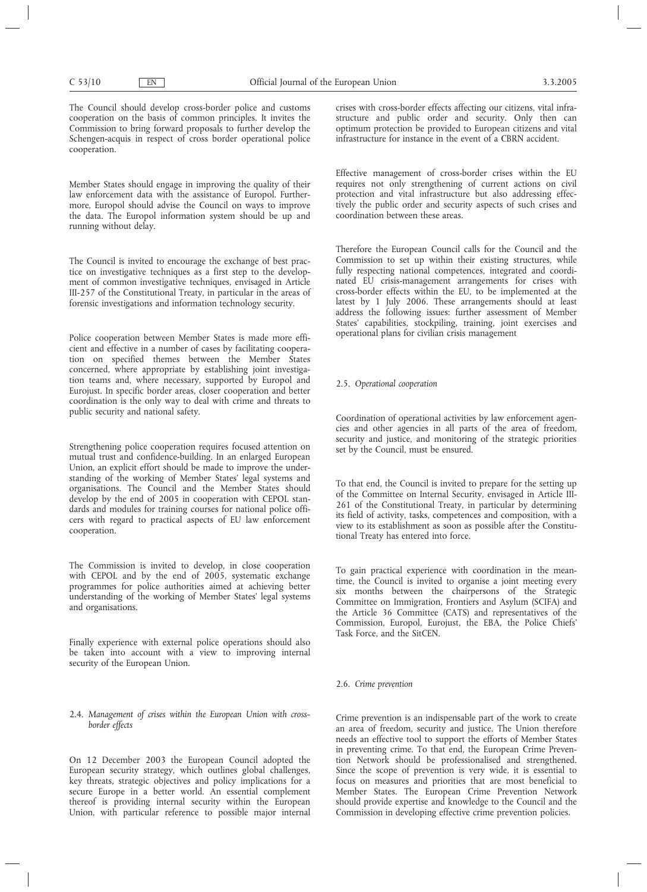The Council should develop cross-border police and customs cooperation on the basis of common principles. It invites the Commission to bring forward proposals to further develop the Schengen-acquis in respect of cross border operational police cooperation.

Member States should engage in improving the quality of their law enforcement data with the assistance of Europol. Furthermore, Europol should advise the Council on ways to improve the data. The Europol information system should be up and running without delay.

The Council is invited to encourage the exchange of best practice on investigative techniques as a first step to the development of common investigative techniques, envisaged in Article III-257 of the Constitutional Treaty, in particular in the areas of forensic investigations and information technology security.

Police cooperation between Member States is made more efficient and effective in a number of cases by facilitating cooperation on specified themes between the Member States concerned, where appropriate by establishing joint investigation teams and, where necessary, supported by Europol and Eurojust. In specific border areas, closer cooperation and better coordination is the only way to deal with crime and threats to public security and national safety.

Strengthening police cooperation requires focused attention on mutual trust and confidence-building. In an enlarged European Union, an explicit effort should be made to improve the understanding of the working of Member States' legal systems and organisations. The Council and the Member States should develop by the end of 2005 in cooperation with CEPOL standards and modules for training courses for national police officers with regard to practical aspects of EU law enforcement cooperation.

The Commission is invited to develop, in close cooperation with CEPOL and by the end of 2005, systematic exchange programmes for police authorities aimed at achieving better understanding of the working of Member States' legal systems and organisations.

Finally experience with external police operations should also be taken into account with a view to improving internal security of the European Union.

2.4. *Management of crises within the European Union with crossborder effects*

On 12 December 2003 the European Council adopted the European security strategy, which outlines global challenges, key threats, strategic objectives and policy implications for a secure Europe in a better world. An essential complement thereof is providing internal security within the European Union, with particular reference to possible major internal crises with cross-border effects affecting our citizens, vital infrastructure and public order and security. Only then can optimum protection be provided to European citizens and vital infrastructure for instance in the event of a CBRN accident.

Effective management of cross-border crises within the EU requires not only strengthening of current actions on civil protection and vital infrastructure but also addressing effectively the public order and security aspects of such crises and coordination between these areas.

Therefore the European Council calls for the Council and the Commission to set up within their existing structures, while fully respecting national competences, integrated and coordinated EU crisis-management arrangements for crises with cross-border effects within the EU, to be implemented at the latest by 1 July 2006. These arrangements should at least address the following issues: further assessment of Member States' capabilities, stockpiling, training, joint exercises and operational plans for civilian crisis management

2.5. *Operational cooperation*

Coordination of operational activities by law enforcement agencies and other agencies in all parts of the area of freedom, security and justice, and monitoring of the strategic priorities set by the Council, must be ensured.

To that end, the Council is invited to prepare for the setting up of the Committee on Internal Security, envisaged in Article III-261 of the Constitutional Treaty, in particular by determining its field of activity, tasks, competences and composition, with a view to its establishment as soon as possible after the Constitutional Treaty has entered into force.

To gain practical experience with coordination in the meantime, the Council is invited to organise a joint meeting every six months between the chairpersons of the Strategic Committee on Immigration, Frontiers and Asylum (SCIFA) and the Article 36 Committee (CATS) and representatives of the Commission, Europol, Eurojust, the EBA, the Police Chiefs' Task Force, and the SitCEN.

## 2.6. *Crime prevention*

Crime prevention is an indispensable part of the work to create an area of freedom, security and justice. The Union therefore needs an effective tool to support the efforts of Member States in preventing crime. To that end, the European Crime Prevention Network should be professionalised and strengthened. Since the scope of prevention is very wide, it is essential to focus on measures and priorities that are most beneficial to Member States. The European Crime Prevention Network should provide expertise and knowledge to the Council and the Commission in developing effective crime prevention policies.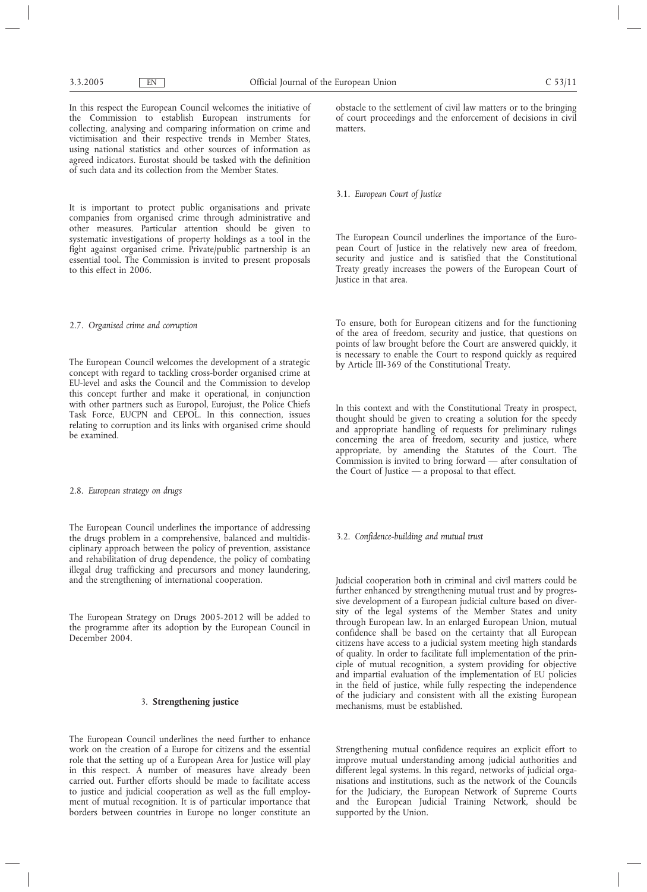In this respect the European Council welcomes the initiative of the Commission to establish European instruments for collecting, analysing and comparing information on crime and victimisation and their respective trends in Member States, using national statistics and other sources of information as agreed indicators. Eurostat should be tasked with the definition of such data and its collection from the Member States.

It is important to protect public organisations and private companies from organised crime through administrative and other measures. Particular attention should be given to systematic investigations of property holdings as a tool in the fight against organised crime. Private/public partnership is an essential tool. The Commission is invited to present proposals to this effect in 2006.

## 2.7. *Organised crime and corruption*

The European Council welcomes the development of a strategic concept with regard to tackling cross-border organised crime at EU-level and asks the Council and the Commission to develop this concept further and make it operational, in conjunction with other partners such as Europol, Eurojust, the Police Chiefs Task Force, EUCPN and CEPOL. In this connection, issues relating to corruption and its links with organised crime should be examined.

## 2.8. *European strategy on drugs*

The European Council underlines the importance of addressing the drugs problem in a comprehensive, balanced and multidisciplinary approach between the policy of prevention, assistance and rehabilitation of drug dependence, the policy of combating illegal drug trafficking and precursors and money laundering, and the strengthening of international cooperation.

The European Strategy on Drugs 2005-2012 will be added to the programme after its adoption by the European Council in December 2004.

# 3. **Strengthening justice**

The European Council underlines the need further to enhance work on the creation of a Europe for citizens and the essential role that the setting up of a European Area for Justice will play in this respect. A number of measures have already been carried out. Further efforts should be made to facilitate access to justice and judicial cooperation as well as the full employment of mutual recognition. It is of particular importance that borders between countries in Europe no longer constitute an obstacle to the settlement of civil law matters or to the bringing of court proceedings and the enforcement of decisions in civil matters.

## 3.1. *European Court of Justice*

The European Council underlines the importance of the European Court of Justice in the relatively new area of freedom, security and justice and is satisfied that the Constitutional Treaty greatly increases the powers of the European Court of Justice in that area.

To ensure, both for European citizens and for the functioning of the area of freedom, security and justice, that questions on points of law brought before the Court are answered quickly, it is necessary to enable the Court to respond quickly as required by Article III-369 of the Constitutional Treaty.

In this context and with the Constitutional Treaty in prospect, thought should be given to creating a solution for the speedy and appropriate handling of requests for preliminary rulings concerning the area of freedom, security and justice, where appropriate, by amending the Statutes of the Court. The Commission is invited to bring forward — after consultation of the Court of Justice — a proposal to that effect.

3.2. *Confidence-building and mutual trust*

Judicial cooperation both in criminal and civil matters could be further enhanced by strengthening mutual trust and by progressive development of a European judicial culture based on diversity of the legal systems of the Member States and unity through European law. In an enlarged European Union, mutual confidence shall be based on the certainty that all European citizens have access to a judicial system meeting high standards of quality. In order to facilitate full implementation of the principle of mutual recognition, a system providing for objective and impartial evaluation of the implementation of EU policies in the field of justice, while fully respecting the independence of the judiciary and consistent with all the existing European mechanisms, must be established.

Strengthening mutual confidence requires an explicit effort to improve mutual understanding among judicial authorities and different legal systems. In this regard, networks of judicial organisations and institutions, such as the network of the Councils for the Judiciary, the European Network of Supreme Courts and the European Judicial Training Network, should be supported by the Union.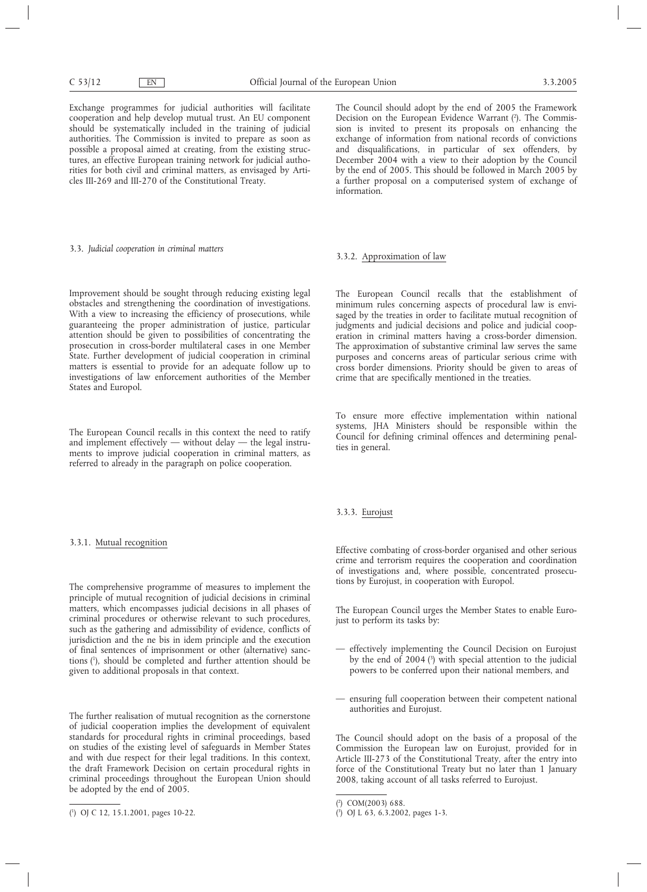Exchange programmes for judicial authorities will facilitate cooperation and help develop mutual trust. An EU component should be systematically included in the training of judicial authorities. The Commission is invited to prepare as soon as possible a proposal aimed at creating, from the existing structures, an effective European training network for judicial authorities for both civil and criminal matters, as envisaged by Articles III-269 and III-270 of the Constitutional Treaty.

3.3. *Judicial cooperation in criminal matters*

Improvement should be sought through reducing existing legal obstacles and strengthening the coordination of investigations. With a view to increasing the efficiency of prosecutions, while guaranteeing the proper administration of justice, particular attention should be given to possibilities of concentrating the prosecution in cross-border multilateral cases in one Member State. Further development of judicial cooperation in criminal matters is essential to provide for an adequate follow up to investigations of law enforcement authorities of the Member States and Europol.

The European Council recalls in this context the need to ratify and implement effectively — without delay — the legal instruments to improve judicial cooperation in criminal matters, as referred to already in the paragraph on police cooperation.

## 3.3.1. Mutual recognition

The comprehensive programme of measures to implement the principle of mutual recognition of judicial decisions in criminal matters, which encompasses judicial decisions in all phases of criminal procedures or otherwise relevant to such procedures, such as the gathering and admissibility of evidence, conflicts of jurisdiction and the ne bis in idem principle and the execution of final sentences of imprisonment or other (alternative) sanctions (1 ), should be completed and further attention should be given to additional proposals in that context.

The further realisation of mutual recognition as the cornerstone of judicial cooperation implies the development of equivalent standards for procedural rights in criminal proceedings, based on studies of the existing level of safeguards in Member States and with due respect for their legal traditions. In this context, the draft Framework Decision on certain procedural rights in criminal proceedings throughout the European Union should be adopted by the end of 2005.

The Council should adopt by the end of 2005 the Framework Decision on the European Evidence Warrant (2). The Commission is invited to present its proposals on enhancing the exchange of information from national records of convictions and disqualifications, in particular of sex offenders, by December 2004 with a view to their adoption by the Council by the end of 2005. This should be followed in March 2005 by a further proposal on a computerised system of exchange of information.

#### 3.3.2. Approximation of law

The European Council recalls that the establishment of minimum rules concerning aspects of procedural law is envisaged by the treaties in order to facilitate mutual recognition of judgments and judicial decisions and police and judicial cooperation in criminal matters having a cross-border dimension. The approximation of substantive criminal law serves the same purposes and concerns areas of particular serious crime with cross border dimensions. Priority should be given to areas of crime that are specifically mentioned in the treaties.

To ensure more effective implementation within national systems, JHA Ministers should be responsible within the Council for defining criminal offences and determining penalties in general.

## 3.3.3. Eurojust

Effective combating of cross-border organised and other serious crime and terrorism requires the cooperation and coordination of investigations and, where possible, concentrated prosecutions by Eurojust, in cooperation with Europol.

The European Council urges the Member States to enable Eurojust to perform its tasks by:

- effectively implementing the Council Decision on Eurojust by the end of 2004 (<sup>3</sup>) with special attention to the judicial powers to be conferred upon their national members, and
- ensuring full cooperation between their competent national authorities and Eurojust.

The Council should adopt on the basis of a proposal of the Commission the European law on Eurojust, provided for in Article III-273 of the Constitutional Treaty, after the entry into force of the Constitutional Treaty but no later than 1 January 2008, taking account of all tasks referred to Eurojust.

<sup>(</sup> 2 ) COM(2003) 688.

<sup>(</sup> 3 ) OJ L 63, 6.3.2002, pages 1-3.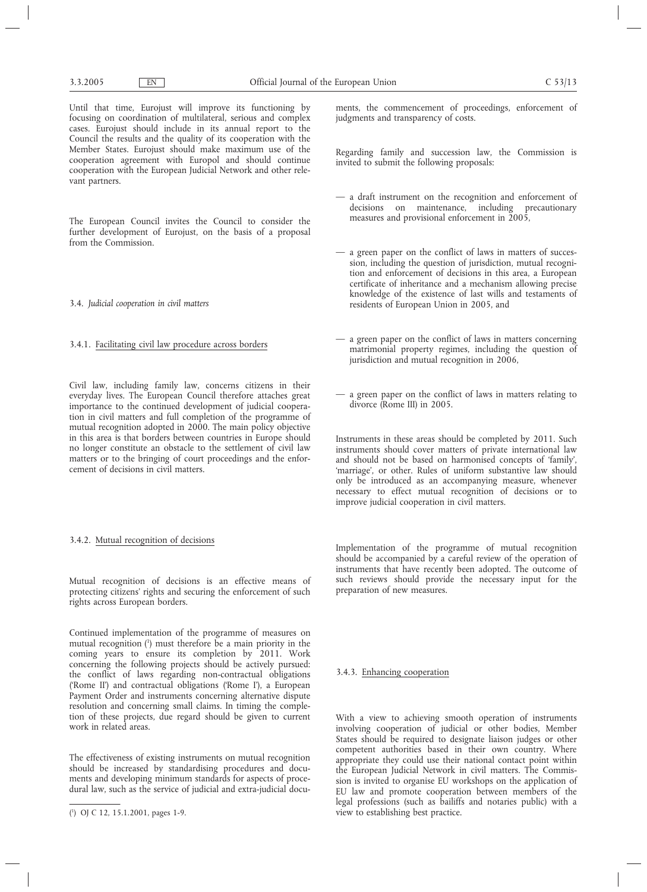Until that time, Eurojust will improve its functioning by focusing on coordination of multilateral, serious and complex cases. Eurojust should include in its annual report to the Council the results and the quality of its cooperation with the Member States. Eurojust should make maximum use of the cooperation agreement with Europol and should continue cooperation with the European Judicial Network and other relevant partners.

The European Council invites the Council to consider the further development of Eurojust, on the basis of a proposal from the Commission.

3.4. *Judicial cooperation in civil matters*

## 3.4.1. Facilitating civil law procedure across borders

Civil law, including family law, concerns citizens in their everyday lives. The European Council therefore attaches great importance to the continued development of judicial cooperation in civil matters and full completion of the programme of mutual recognition adopted in 2000. The main policy objective in this area is that borders between countries in Europe should no longer constitute an obstacle to the settlement of civil law matters or to the bringing of court proceedings and the enforcement of decisions in civil matters.

#### 3.4.2. Mutual recognition of decisions

Mutual recognition of decisions is an effective means of protecting citizens' rights and securing the enforcement of such rights across European borders.

Continued implementation of the programme of measures on mutual recognition (1 ) must therefore be a main priority in the coming years to ensure its completion by 2011. Work concerning the following projects should be actively pursued: the conflict of laws regarding non-contractual obligations ('Rome II') and contractual obligations ('Rome I'), a European Payment Order and instruments concerning alternative dispute resolution and concerning small claims. In timing the completion of these projects, due regard should be given to current work in related areas.

The effectiveness of existing instruments on mutual recognition should be increased by standardising procedures and documents and developing minimum standards for aspects of procedural law, such as the service of judicial and extra-judicial documents, the commencement of proceedings, enforcement of judgments and transparency of costs.

Regarding family and succession law, the Commission is invited to submit the following proposals:

- a draft instrument on the recognition and enforcement of decisions on maintenance, including precautionary measures and provisional enforcement in 2005,
- a green paper on the conflict of laws in matters of succession, including the question of jurisdiction, mutual recognition and enforcement of decisions in this area, a European certificate of inheritance and a mechanism allowing precise knowledge of the existence of last wills and testaments of residents of European Union in 2005, and
- a green paper on the conflict of laws in matters concerning matrimonial property regimes, including the question of jurisdiction and mutual recognition in 2006,
- a green paper on the conflict of laws in matters relating to divorce (Rome III) in 2005.

Instruments in these areas should be completed by 2011. Such instruments should cover matters of private international law and should not be based on harmonised concepts of 'family', 'marriage', or other. Rules of uniform substantive law should only be introduced as an accompanying measure, whenever necessary to effect mutual recognition of decisions or to improve judicial cooperation in civil matters.

Implementation of the programme of mutual recognition should be accompanied by a careful review of the operation of instruments that have recently been adopted. The outcome of such reviews should provide the necessary input for the preparation of new measures.

#### 3.4.3. Enhancing cooperation

With a view to achieving smooth operation of instruments involving cooperation of judicial or other bodies, Member States should be required to designate liaison judges or other competent authorities based in their own country. Where appropriate they could use their national contact point within the European Judicial Network in civil matters. The Commission is invited to organise EU workshops on the application of EU law and promote cooperation between members of the legal professions (such as bailiffs and notaries public) with a view to establishing best practice.